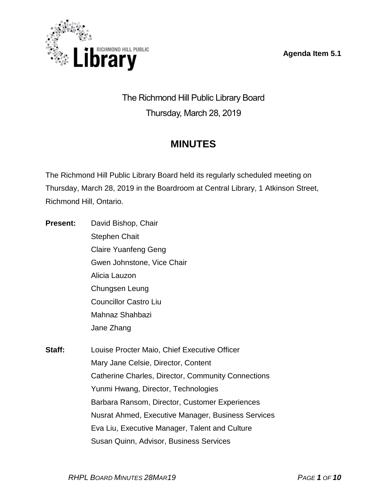**Agenda Item 5.1**



The Richmond Hill Public Library Board Thursday, March 28, 2019

# **MINUTES**

The Richmond Hill Public Library Board held its regularly scheduled meeting on Thursday, March 28, 2019 in the Boardroom at Central Library, 1 Atkinson Street, Richmond Hill, Ontario.

- **Present:** David Bishop, Chair Stephen Chait Claire Yuanfeng Geng Gwen Johnstone, Vice Chair Alicia Lauzon Chungsen Leung Councillor Castro Liu Mahnaz Shahbazi Jane Zhang **Staff:** Louise Procter Maio, Chief Executive Officer Mary Jane Celsie, Director, Content
	- Catherine Charles, Director, Community Connections Yunmi Hwang, Director, Technologies Barbara Ransom, Director, Customer Experiences Nusrat Ahmed, Executive Manager, Business Services Eva Liu, Executive Manager, Talent and Culture Susan Quinn, Advisor, Business Services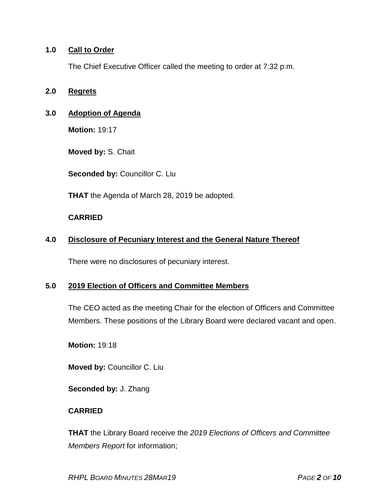## **1.0 Call to Order**

The Chief Executive Officer called the meeting to order at 7:32 p.m.

### **2.0 Regrets**

## **3.0 Adoption of Agenda**

**Motion:** 19:17

**Moved by:** S. Chait

**Seconded by:** Councillor C. Liu

**THAT** the Agenda of March 28, 2019 be adopted.

### **CARRIED**

## **4.0 Disclosure of Pecuniary Interest and the General Nature Thereof**

There were no disclosures of pecuniary interest.

## **5.0 2019 Election of Officers and Committee Members**

The CEO acted as the meeting Chair for the election of Officers and Committee Members. These positions of the Library Board were declared vacant and open.

**Motion:** 19:18

**Moved by:** Councillor C. Liu

**Seconded by:** J. Zhang

## **CARRIED**

**THAT** the Library Board receive the *2019 Elections of Officers and Committee Members Report* for information;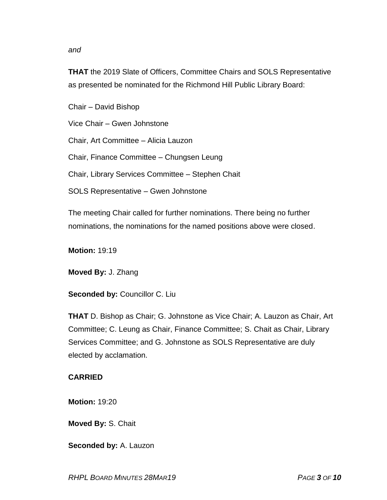#### *and*

**THAT** the 2019 Slate of Officers, Committee Chairs and SOLS Representative as presented be nominated for the Richmond Hill Public Library Board:

Chair – David Bishop

Vice Chair – Gwen Johnstone

Chair, Art Committee – Alicia Lauzon

Chair, Finance Committee – Chungsen Leung

Chair, Library Services Committee – Stephen Chait

SOLS Representative – Gwen Johnstone

The meeting Chair called for further nominations. There being no further nominations, the nominations for the named positions above were closed.

**Motion:** 19:19

**Moved By:** J. Zhang

**Seconded by:** Councillor C. Liu

**THAT** D. Bishop as Chair; G. Johnstone as Vice Chair; A. Lauzon as Chair, Art Committee; C. Leung as Chair, Finance Committee; S. Chait as Chair, Library Services Committee; and G. Johnstone as SOLS Representative are duly elected by acclamation.

#### **CARRIED**

**Motion:** 19:20

**Moved By:** S. Chait

**Seconded by:** A. Lauzon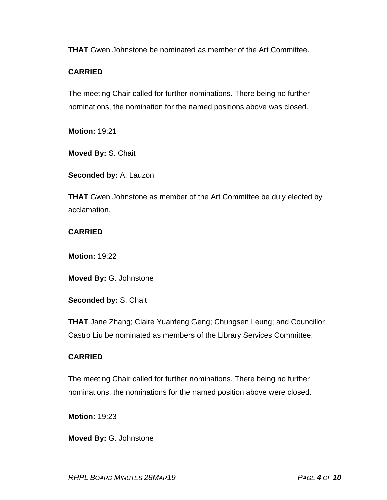**THAT** Gwen Johnstone be nominated as member of the Art Committee.

## **CARRIED**

The meeting Chair called for further nominations. There being no further nominations, the nomination for the named positions above was closed.

**Motion:** 19:21

**Moved By:** S. Chait

**Seconded by:** A. Lauzon

**THAT** Gwen Johnstone as member of the Art Committee be duly elected by acclamation.

## **CARRIED**

**Motion:** 19:22

**Moved By:** G. Johnstone

**Seconded by:** S. Chait

**THAT** Jane Zhang; Claire Yuanfeng Geng; Chungsen Leung; and Councillor Castro Liu be nominated as members of the Library Services Committee.

## **CARRIED**

The meeting Chair called for further nominations. There being no further nominations, the nominations for the named position above were closed.

**Motion:** 19:23

**Moved By:** G. Johnstone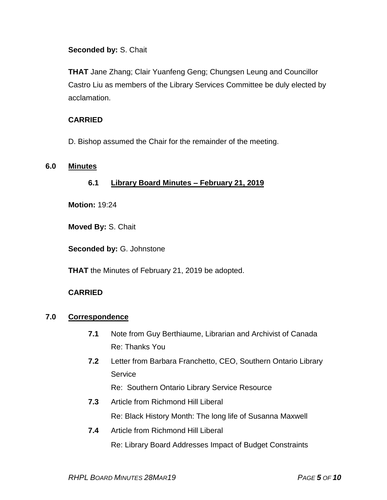**Seconded by:** S. Chait

**THAT** Jane Zhang; Clair Yuanfeng Geng; Chungsen Leung and Councillor Castro Liu as members of the Library Services Committee be duly elected by acclamation.

# **CARRIED**

D. Bishop assumed the Chair for the remainder of the meeting.

## **6.0 Minutes**

**6.1 Library Board Minutes – February 21, 2019**

**Motion:** 19:24

**Moved By:** S. Chait

**Seconded by:** G. Johnstone

**THAT** the Minutes of February 21, 2019 be adopted.

## **CARRIED**

## **7.0 Correspondence**

- **7.1** Note from Guy Berthiaume, Librarian and Archivist of Canada Re: Thanks You
- **7.2** Letter from Barbara Franchetto, CEO, Southern Ontario Library Service

Re: Southern Ontario Library Service Resource

- **7.3** Article from Richmond Hill Liberal Re: Black History Month: The long life of Susanna Maxwell
- **7.4** Article from Richmond Hill Liberal Re: Library Board Addresses Impact of Budget Constraints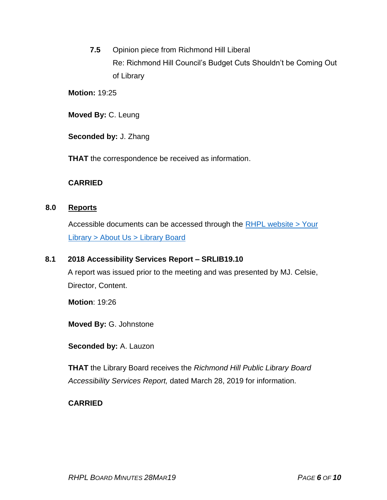**7.5** Opinion piece from Richmond Hill Liberal Re: Richmond Hill Council's Budget Cuts Shouldn't be Coming Out of Library

**Motion:** 19:25

**Moved By:** C. Leung

**Seconded by:** J. Zhang

**THAT** the correspondence be received as information.

## **CARRIED**

### **8.0 Reports**

Accessible documents can be accessed through the [RHPL website > Your](https://www.rhpl.ca/your-library/about-us/library-board)  Library [> About Us > Library](https://www.rhpl.ca/your-library/about-us/library-board) Board

### **8.1 2018 Accessibility Services Report – SRLIB19.10**

A report was issued prior to the meeting and was presented by MJ. Celsie, Director, Content.

**Motion**: 19:26

**Moved By:** G. Johnstone

**Seconded by:** A. Lauzon

**THAT** the Library Board receives the *Richmond Hill Public Library Board Accessibility Services Report,* dated March 28, 2019 for information.

### **CARRIED**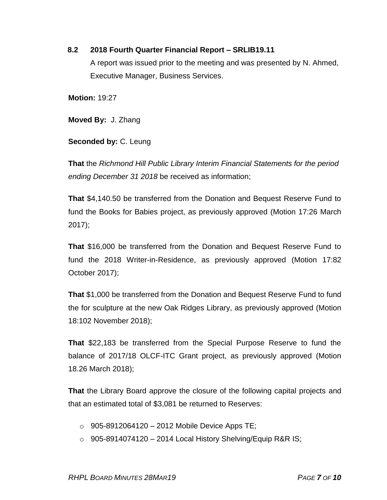## **8.2 2018 Fourth Quarter Financial Report – SRLIB19.11**

A report was issued prior to the meeting and was presented by N. Ahmed, Executive Manager, Business Services.

**Motion:** 19:27

**Moved By:** J. Zhang

**Seconded by:** C. Leung

**That** the *Richmond Hill Public Library Interim Financial Statements for the period ending December 31 2018* be received as information;

**That** \$4,140.50 be transferred from the Donation and Bequest Reserve Fund to fund the Books for Babies project, as previously approved (Motion 17:26 March 2017);

**That** \$16,000 be transferred from the Donation and Bequest Reserve Fund to fund the 2018 Writer-in-Residence, as previously approved (Motion 17:82 October 2017);

**That** \$1,000 be transferred from the Donation and Bequest Reserve Fund to fund the for sculpture at the new Oak Ridges Library, as previously approved (Motion 18:102 November 2018);

**That** \$22,183 be transferred from the Special Purpose Reserve to fund the balance of 2017/18 OLCF-ITC Grant project, as previously approved (Motion 18.26 March 2018);

**That** the Library Board approve the closure of the following capital projects and that an estimated total of \$3,081 be returned to Reserves:

- $\circ$  905-8912064120 2012 Mobile Device Apps TE;
- $\circ$  905-8914074120 2014 Local History Shelving/Equip R&R IS;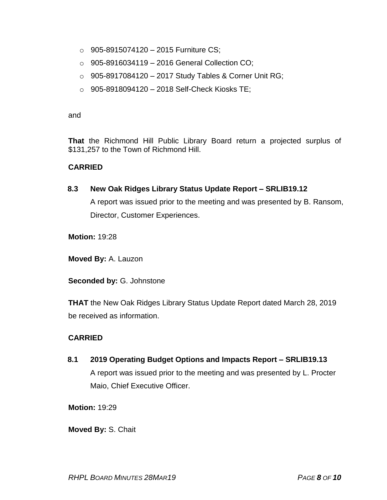- $\circ$  905-8915074120 2015 Furniture CS;
- o 905-8916034119 2016 General Collection CO;
- o 905-8917084120 2017 Study Tables & Corner Unit RG;
- $\circ$  905-8918094120 2018 Self-Check Kiosks TE;

and

**That** the Richmond Hill Public Library Board return a projected surplus of \$131,257 to the Town of Richmond Hill.

### **CARRIED**

### **8.3 New Oak Ridges Library Status Update Report – SRLIB19.12**

A report was issued prior to the meeting and was presented by B. Ransom, Director, Customer Experiences.

**Motion:** 19:28

**Moved By:** A. Lauzon

**Seconded by:** G. Johnstone

**THAT** the New Oak Ridges Library Status Update Report dated March 28, 2019 be received as information.

### **CARRIED**

**8.1 2019 Operating Budget Options and Impacts Report – SRLIB19.13** A report was issued prior to the meeting and was presented by L. Procter Maio, Chief Executive Officer.

**Motion:** 19:29

**Moved By:** S. Chait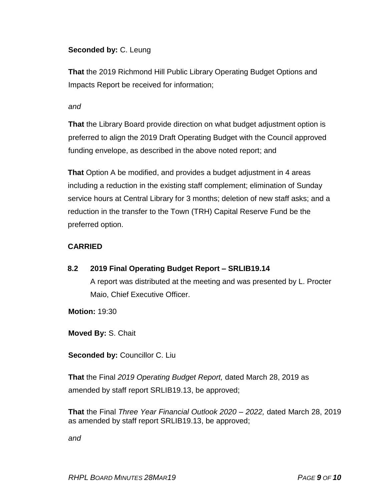## **Seconded by:** C. Leung

**That** the 2019 Richmond Hill Public Library Operating Budget Options and Impacts Report be received for information;

#### *and*

**That** the Library Board provide direction on what budget adjustment option is preferred to align the 2019 Draft Operating Budget with the Council approved funding envelope, as described in the above noted report; and

**That** Option A be modified, and provides a budget adjustment in 4 areas including a reduction in the existing staff complement; elimination of Sunday service hours at Central Library for 3 months; deletion of new staff asks; and a reduction in the transfer to the Town (TRH) Capital Reserve Fund be the preferred option.

## **CARRIED**

**8.2 2019 Final Operating Budget Report – SRLIB19.14** A report was distributed at the meeting and was presented by L. Procter Maio, Chief Executive Officer.

**Motion:** 19:30

**Moved By:** S. Chait

**Seconded by:** Councillor C. Liu

**That** the Final *2019 Operating Budget Report,* dated March 28, 2019 as amended by staff report SRLIB19.13, be approved;

**That** the Final *Three Year Financial Outlook 2020 – 2022,* dated March 28, 2019 as amended by staff report SRLIB19.13, be approved;

*and*